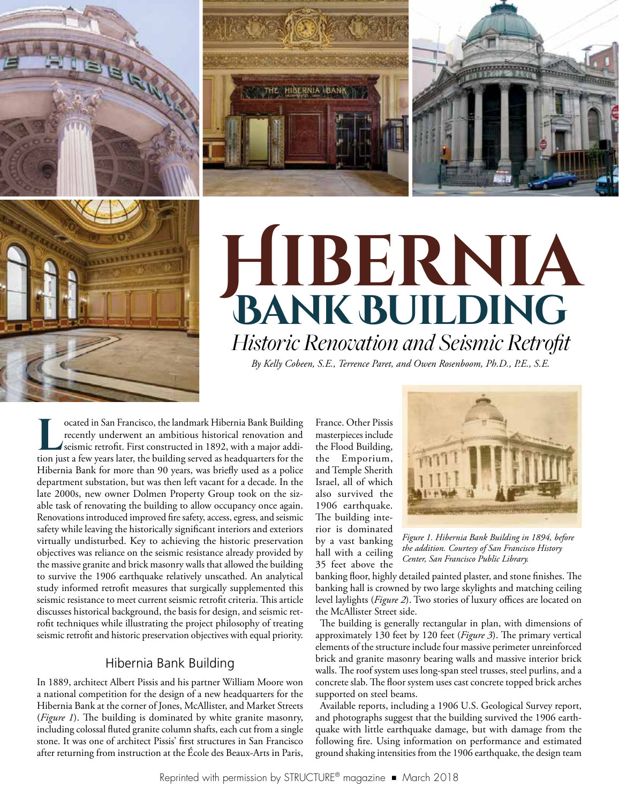

# **Hibernia Bank Building** *Historic Renovation and Seismic Retrofit By Kelly Cobeen, S.E., Terrence Paret, and Owen Rosenboom, Ph.D., P.E., S.E.*

**Located in San Francisco, the landmark Hibernia Bank Building<br>recently underwent an ambitious historical renovation and<br>seismic retrofit. First constructed in 1892, with a major addi-<br>tion just a few years later, the buil** recently underwent an ambitious historical renovation and seismic retrofit. First constructed in 1892, with a major addition just a few years later, the building served as headquarters for the Hibernia Bank for more than 90 years, was briefly used as a police department substation, but was then left vacant for a decade. In the late 2000s, new owner Dolmen Property Group took on the sizable task of renovating the building to allow occupancy once again. Renovations introduced improved fire safety, access, egress, and seismic safety while leaving the historically significant interiors and exteriors virtually undisturbed. Key to achieving the historic preservation objectives was reliance on the seismic resistance already provided by the massive granite and brick masonry walls that allowed the building to survive the 1906 earthquake relatively unscathed. An analytical study informed retrofit measures that surgically supplemented this seismic resistance to meet current seismic retrofit criteria. This article discusses historical background, the basis for design, and seismic retrofit techniques while illustrating the project philosophy of treating seismic retrofit and historic preservation objectives with equal priority.

# Hibernia Bank Building

In 1889, architect Albert Pissis and his partner William Moore won a national competition for the design of a new headquarters for the Hibernia Bank at the corner of Jones, McAllister, and Market Streets (*Figure 1*). The building is dominated by white granite masonry, including colossal fluted granite column shafts, each cut from a single stone. It was one of architect Pissis' first structures in San Francisco after returning from instruction at the École des Beaux-Arts in Paris,

France. Other Pissis masterpieces include the Flood Building, the Emporium, and Temple Sherith Israel, all of which also survived the 1906 earthquake. The building interior is dominated by a vast banking hall with a ceiling 35 feet above the

THE HISERNIA (BANK



*Figure 1. Hibernia Bank Building in 1894, before the addition. Courtesy of San Francisco History Center, San Francisco Public Library.*

banking floor, highly detailed painted plaster, and stone finishes. The banking hall is crowned by two large skylights and matching ceiling level laylights (*Figure 2*). Two stories of luxury offices are located on the McAllister Street side.

The building is generally rectangular in plan, with dimensions of approximately 130 feet by 120 feet (*Figure 3*). The primary vertical elements of the structure include four massive perimeter unreinforced brick and granite masonry bearing walls and massive interior brick walls. The roof system uses long-span steel trusses, steel purlins, and a concrete slab. The floor system uses cast concrete topped brick arches supported on steel beams.

Available reports, including a 1906 U.S. Geological Survey report, and photographs suggest that the building survived the 1906 earthquake with little earthquake damage, but with damage from the following fire. Using information on performance and estimated ground shaking intensities from the 1906 earthquake, the design team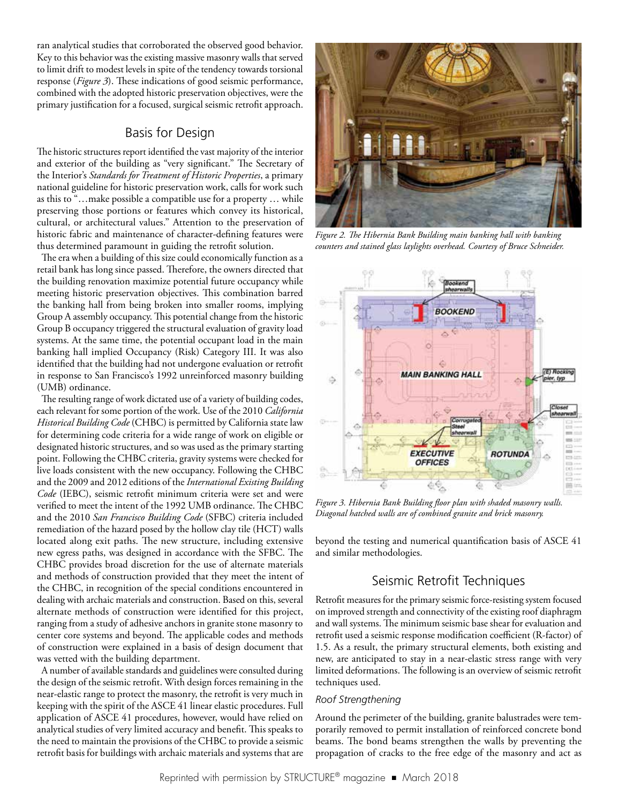ran analytical studies that corroborated the observed good behavior. Key to this behavior was the existing massive masonry walls that served to limit drift to modest levels in spite of the tendency towards torsional response (*Figure 3*). These indications of good seismic performance, combined with the adopted historic preservation objectives, were the primary justification for a focused, surgical seismic retrofit approach.

## Basis for Design

The historic structures report identified the vast majority of the interior and exterior of the building as "very significant." The Secretary of the Interior's *Standards for Treatment of Historic Properties*, a primary national guideline for historic preservation work, calls for work such as this to "…make possible a compatible use for a property … while preserving those portions or features which convey its historical, cultural, or architectural values." Attention to the preservation of historic fabric and maintenance of character-defining features were thus determined paramount in guiding the retrofit solution.

The era when a building of this size could economically function as a retail bank has long since passed. Therefore, the owners directed that the building renovation maximize potential future occupancy while meeting historic preservation objectives. This combination barred the banking hall from being broken into smaller rooms, implying Group A assembly occupancy. This potential change from the historic Group B occupancy triggered the structural evaluation of gravity load systems. At the same time, the potential occupant load in the main banking hall implied Occupancy (Risk) Category III. It was also identified that the building had not undergone evaluation or retrofit in response to San Francisco's 1992 unreinforced masonry building (UMB) ordinance.

The resulting range of work dictated use of a variety of building codes, each relevant for some portion of the work. Use of the 2010 *California Historical Building Code* (CHBC) is permitted by California state law for determining code criteria for a wide range of work on eligible or designated historic structures, and so was used as the primary starting point. Following the CHBC criteria, gravity systems were checked for live loads consistent with the new occupancy. Following the CHBC and the 2009 and 2012 editions of the *International Existing Building Code* (IEBC), seismic retrofit minimum criteria were set and were verified to meet the intent of the 1992 UMB ordinance. The CHBC and the 2010 *San Francisco Building Code* (SFBC) criteria included remediation of the hazard posed by the hollow clay tile (HCT) walls located along exit paths. The new structure, including extensive new egress paths, was designed in accordance with the SFBC. The CHBC provides broad discretion for the use of alternate materials and methods of construction provided that they meet the intent of the CHBC, in recognition of the special conditions encountered in dealing with archaic materials and construction. Based on this, several alternate methods of construction were identified for this project, ranging from a study of adhesive anchors in granite stone masonry to center core systems and beyond. The applicable codes and methods of construction were explained in a basis of design document that was vetted with the building department.

A number of available standards and guidelines were consulted during the design of the seismic retrofit. With design forces remaining in the near-elastic range to protect the masonry, the retrofit is very much in keeping with the spirit of the ASCE 41 linear elastic procedures. Full application of ASCE 41 procedures, however, would have relied on analytical studies of very limited accuracy and benefit. This speaks to the need to maintain the provisions of the CHBC to provide a seismic retrofit basis for buildings with archaic materials and systems that are



*Figure 2. The Hibernia Bank Building main banking hall with banking counters and stained glass laylights overhead. Courtesy of Bruce Schneider.*



*Figure 3. Hibernia Bank Building floor plan with shaded masonry walls. Diagonal hatched walls are of combined granite and brick masonry.*

beyond the testing and numerical quantification basis of ASCE 41 and similar methodologies.

# Seismic Retrofit Techniques

Retrofit measures for the primary seismic force-resisting system focused on improved strength and connectivity of the existing roof diaphragm and wall systems. The minimum seismic base shear for evaluation and retrofit used a seismic response modification coefficient (R-factor) of 1.5. As a result, the primary structural elements, both existing and new, are anticipated to stay in a near-elastic stress range with very limited deformations. The following is an overview of seismic retrofit techniques used.

#### *Roof Strengthening*

Around the perimeter of the building, granite balustrades were temporarily removed to permit installation of reinforced concrete bond beams. The bond beams strengthen the walls by preventing the propagation of cracks to the free edge of the masonry and act as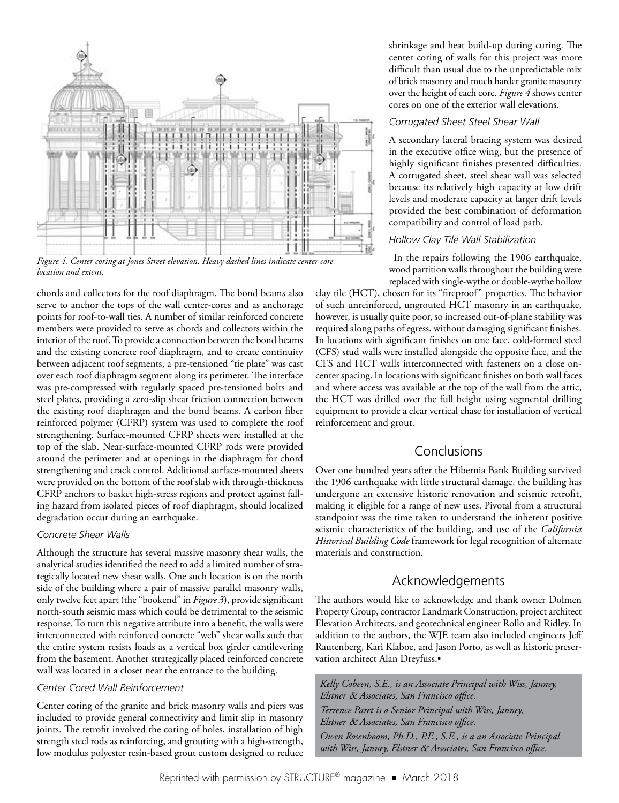

*Figure 4. Center coring at Jones Street elevation. Heavy dashed lines indicate center core location and extent.*

chords and collectors for the roof diaphragm. The bond beams also serve to anchor the tops of the wall center-cores and as anchorage points for roof-to-wall ties. A number of similar reinforced concrete members were provided to serve as chords and collectors within the interior of the roof. To provide a connection between the bond beams and the existing concrete roof diaphragm, and to create continuity between adjacent roof segments, a pre-tensioned "tie plate" was cast over each roof diaphragm segment along its perimeter. The interface was pre-compressed with regularly spaced pre-tensioned bolts and steel plates, providing a zero-slip shear friction connection between the existing roof diaphragm and the bond beams. A carbon fiber reinforced polymer (CFRP) system was used to complete the roof strengthening. Surface-mounted CFRP sheets were installed at the top of the slab. Near-surface-mounted CFRP rods were provided around the perimeter and at openings in the diaphragm for chord strengthening and crack control. Additional surface-mounted sheets were provided on the bottom of the roof slab with through-thickness CFRP anchors to basket high-stress regions and protect against falling hazard from isolated pieces of roof diaphragm, should localized degradation occur during an earthquake.

#### *Concrete Shear Walls*

Although the structure has several massive masonry shear walls, the analytical studies identified the need to add a limited number of strategically located new shear walls. One such location is on the north side of the building where a pair of massive parallel masonry walls, only twelve feet apart (the "bookend" in *Figure 3*), provide significant north-south seismic mass which could be detrimental to the seismic response. To turn this negative attribute into a benefit, the walls were interconnected with reinforced concrete "web" shear walls such that the entire system resists loads as a vertical box girder cantilevering from the basement. Another strategically placed reinforced concrete wall was located in a closet near the entrance to the building.

### *Center Cored Wall Reinforcement*

Center coring of the granite and brick masonry walls and piers was included to provide general connectivity and limit slip in masonry joints. The retrofit involved the coring of holes, installation of high strength steel rods as reinforcing, and grouting with a high-strength, low modulus polyester resin-based grout custom designed to reduce

shrinkage and heat build-up during curing. The center coring of walls for this project was more difficult than usual due to the unpredictable mix of brick masonry and much harder granite masonry over the height of each core. *Figure 4* shows center cores on one of the exterior wall elevations.

### *Corrugated Sheet Steel Shear Wall*

A secondary lateral bracing system was desired in the executive office wing, but the presence of highly significant finishes presented difficulties. A corrugated sheet, steel shear wall was selected because its relatively high capacity at low drift levels and moderate capacity at larger drift levels provided the best combination of deformation compatibility and control of load path.

#### *Hollow Clay Tile Wall Stabilization*

In the repairs following the 1906 earthquake, wood partition walls throughout the building were replaced with single-wythe or double-wythe hollow

clay tile (HCT), chosen for its "fireproof" properties. The behavior of such unreinforced, ungrouted HCT masonry in an earthquake, however, is usually quite poor, so increased out-of-plane stability was required along paths of egress, without damaging significant finishes. In locations with significant finishes on one face, cold-formed steel (CFS) stud walls were installed alongside the opposite face, and the CFS and HCT walls interconnected with fasteners on a close oncenter spacing. In locations with significant finishes on both wall faces and where access was available at the top of the wall from the attic, the HCT was drilled over the full height using segmental drilling equipment to provide a clear vertical chase for installation of vertical reinforcement and grout.

# Conclusions

Over one hundred years after the Hibernia Bank Building survived the 1906 earthquake with little structural damage, the building has undergone an extensive historic renovation and seismic retrofit, making it eligible for a range of new uses. Pivotal from a structural standpoint was the time taken to understand the inherent positive seismic characteristics of the building, and use of the *California Historical Building Code* framework for legal recognition of alternate materials and construction.

# Acknowledgements

The authors would like to acknowledge and thank owner Dolmen Property Group, contractor Landmark Construction, project architect Elevation Architects, and geotechnical engineer Rollo and Ridley. In addition to the authors, the WJE team also included engineers Jeff Rautenberg, Kari Klaboe, and Jason Porto, as well as historic preservation architect Alan Dreyfuss.*▪*

*Kelly Cobeen, S.E., is an Associate Principal with Wiss, Janney, Elstner* & *Associates, San Francisco office. Terrence Paret is a Senior Principal with Wiss, Janney, Elstner* & *Associates, San Francisco office. Owen Rosenboom, Ph.D., P.E., S.E., is a an Associate Principal with Wiss, Janney, Elstner* & *Associates, San Francisco office.*